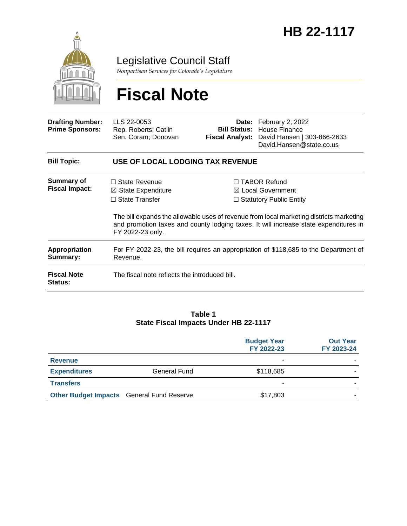

Legislative Council Staff

*Nonpartisan Services for Colorado's Legislature*

# **Fiscal Note**

| <b>Drafting Number:</b><br><b>Prime Sponsors:</b> | LLS 22-0053<br>Rep. Roberts; Catlin<br>Sen. Coram; Donovan                                         |  | Date: February 2, 2022<br><b>Bill Status:</b> House Finance<br>Fiscal Analyst: David Hansen   303-866-2633<br>David.Hansen@state.co.us                                                                                                                                   |  |  |
|---------------------------------------------------|----------------------------------------------------------------------------------------------------|--|--------------------------------------------------------------------------------------------------------------------------------------------------------------------------------------------------------------------------------------------------------------------------|--|--|
| <b>Bill Topic:</b>                                | USE OF LOCAL LODGING TAX REVENUE                                                                   |  |                                                                                                                                                                                                                                                                          |  |  |
| Summary of<br><b>Fiscal Impact:</b>               | $\Box$ State Revenue<br>$\boxtimes$ State Expenditure<br>$\Box$ State Transfer<br>FY 2022-23 only. |  | $\Box$ TABOR Refund<br>$\boxtimes$ Local Government<br>$\Box$ Statutory Public Entity<br>The bill expands the allowable uses of revenue from local marketing districts marketing<br>and promotion taxes and county lodging taxes. It will increase state expenditures in |  |  |
| <b>Appropriation</b><br>Summary:                  | For FY 2022-23, the bill requires an appropriation of \$118,685 to the Department of<br>Revenue.   |  |                                                                                                                                                                                                                                                                          |  |  |
| <b>Fiscal Note</b><br><b>Status:</b>              | The fiscal note reflects the introduced bill.                                                      |  |                                                                                                                                                                                                                                                                          |  |  |

#### **Table 1 State Fiscal Impacts Under HB 22-1117**

|                                                  |              | <b>Budget Year</b><br>FY 2022-23 | <b>Out Year</b><br>FY 2023-24 |
|--------------------------------------------------|--------------|----------------------------------|-------------------------------|
| <b>Revenue</b>                                   |              |                                  |                               |
| <b>Expenditures</b>                              | General Fund | \$118,685                        |                               |
| <b>Transfers</b>                                 |              |                                  |                               |
| <b>Other Budget Impacts</b> General Fund Reserve |              | \$17,803                         |                               |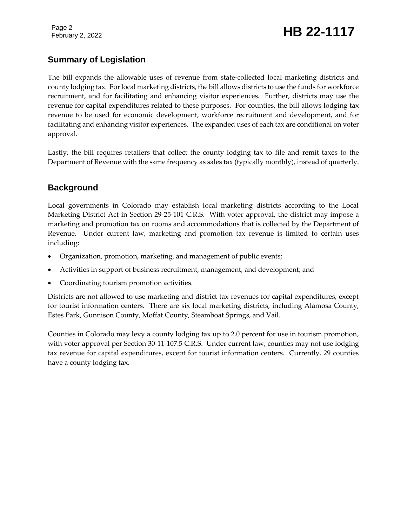## February 2, 2022 **HB 22-1117**

## **Summary of Legislation**

The bill expands the allowable uses of revenue from state-collected local marketing districts and county lodging tax. For local marketing districts, the bill allows districts to use the funds for workforce recruitment, and for facilitating and enhancing visitor experiences. Further, districts may use the revenue for capital expenditures related to these purposes. For counties, the bill allows lodging tax revenue to be used for economic development, workforce recruitment and development, and for facilitating and enhancing visitor experiences. The expanded uses of each tax are conditional on voter approval.

Lastly, the bill requires retailers that collect the county lodging tax to file and remit taxes to the Department of Revenue with the same frequency as sales tax (typically monthly), instead of quarterly.

## **Background**

Local governments in Colorado may establish local marketing districts according to the Local Marketing District Act in Section 29-25-101 C.R.S. With voter approval, the district may impose a marketing and promotion tax on rooms and accommodations that is collected by the Department of Revenue. Under current law, marketing and promotion tax revenue is limited to certain uses including:

- Organization, promotion, marketing, and management of public events;
- Activities in support of business recruitment, management, and development; and
- Coordinating tourism promotion activities.

Districts are not allowed to use marketing and district tax revenues for capital expenditures, except for tourist information centers. There are six local marketing districts, including Alamosa County, Estes Park, Gunnison County, Moffat County, Steamboat Springs, and Vail.

Counties in Colorado may levy a county lodging tax up to 2.0 percent for use in tourism promotion, with voter approval per Section 30-11-107.5 C.R.S. Under current law, counties may not use lodging tax revenue for capital expenditures, except for tourist information centers. Currently, 29 counties have a county lodging tax.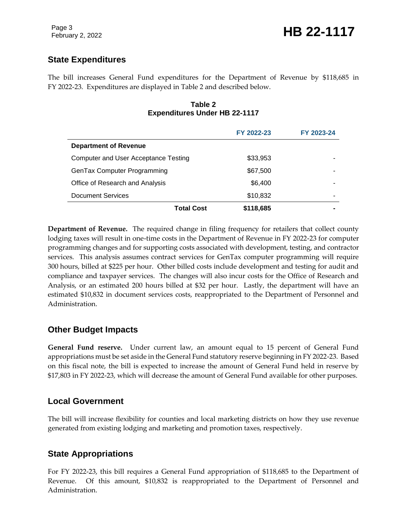## **State Expenditures**

The bill increases General Fund expenditures for the Department of Revenue by \$118,685 in FY 2022-23. Expenditures are displayed in Table 2 and described below.

#### **Table 2 Expenditures Under HB 22-1117**

|                                      | FY 2022-23 | FY 2023-24 |
|--------------------------------------|------------|------------|
| <b>Department of Revenue</b>         |            |            |
| Computer and User Acceptance Testing | \$33,953   |            |
| GenTax Computer Programming          | \$67,500   |            |
| Office of Research and Analysis      | \$6,400    |            |
| <b>Document Services</b>             | \$10,832   | -          |
| <b>Total Cost</b>                    | \$118,685  |            |

**Department of Revenue.** The required change in filing frequency for retailers that collect county lodging taxes will result in one-time costs in the Department of Revenue in FY 2022-23 for computer programming changes and for supporting costs associated with development, testing, and contractor services. This analysis assumes contract services for GenTax computer programming will require 300 hours, billed at \$225 per hour. Other billed costs include development and testing for audit and compliance and taxpayer services. The changes will also incur costs for the Office of Research and Analysis, or an estimated 200 hours billed at \$32 per hour. Lastly, the department will have an estimated \$10,832 in document services costs, reappropriated to the Department of Personnel and Administration.

## **Other Budget Impacts**

**General Fund reserve.** Under current law, an amount equal to 15 percent of General Fund appropriations must be set aside in the General Fund statutory reserve beginning in FY 2022-23. Based on this fiscal note, the bill is expected to increase the amount of General Fund held in reserve by \$17,803 in FY 2022-23, which will decrease the amount of General Fund available for other purposes.

## **Local Government**

The bill will increase flexibility for counties and local marketing districts on how they use revenue generated from existing lodging and marketing and promotion taxes, respectively.

## **State Appropriations**

For FY 2022-23, this bill requires a General Fund appropriation of \$118,685 to the Department of Revenue. Of this amount, \$10,832 is reappropriated to the Department of Personnel and Administration.